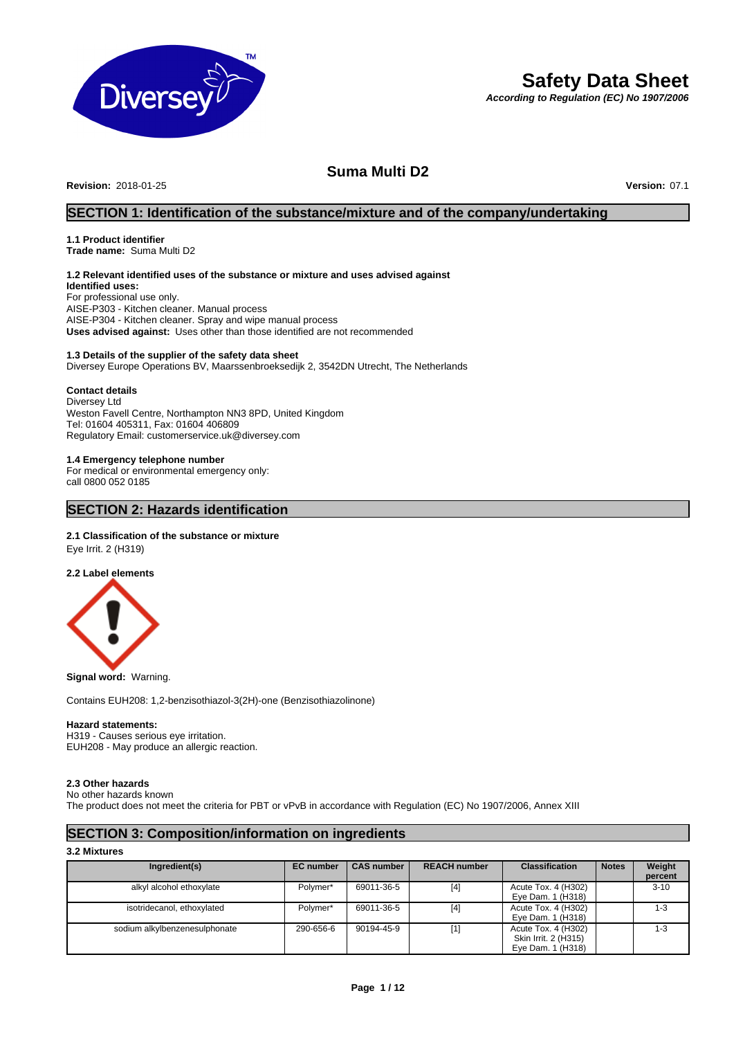

# **Safety Data Sheet**

*According to Regulation (EC) No 1907/2006*

# **Suma Multi D2**

**Revision:** 2018-01-25 **Version:** 07.1

# **SECTION 1: Identification of the substance/mixture and of the company/undertaking**

# **1.1 Product identifier**

**Trade name:** Suma Multi D2

# **1.2 Relevant identified uses of the substance or mixture and uses advised against**

**Identified uses:** For professional use only. AISE-P303 - Kitchen cleaner. Manual process AISE-P304 - Kitchen cleaner. Spray and wipe manual process **Uses advised against:** Uses other than those identified are not recommended

### **1.3 Details of the supplier of the safety data sheet**

Diversey Europe Operations BV, Maarssenbroeksedijk 2, 3542DN Utrecht, The Netherlands

### **Contact details**

Diversey Ltd Weston Favell Centre, Northampton NN3 8PD, United Kingdom Tel: 01604 405311, Fax: 01604 406809 Regulatory Email: customerservice.uk@diversey.com

### **1.4 Emergency telephone number**

For medical or environmental emergency only: call 0800 052 0185

# **SECTION 2: Hazards identification**

### **2.1 Classification of the substance or mixture**

Eye Irrit. 2 (H319)

### **2.2 Label elements**



**Signal word:** Warning.

Contains EUH208: 1,2-benzisothiazol-3(2H)-one (Benzisothiazolinone)

### **Hazard statements:**

H319 - Causes serious eye irritation. EUH208 - May produce an allergic reaction.

### **2.3 Other hazards**

No other hazards known

The product does not meet the criteria for PBT or vPvB in accordance with Regulation (EC) No 1907/2006, Annex XIII

# **SECTION 3: Composition/information on ingredients**

### **3.2 Mixtures**

| Ingredient(s)                 | <b>EC</b> number | <b>CAS number</b> | <b>REACH number</b> | <b>Classification</b> | <b>Notes</b> | Weight   |
|-------------------------------|------------------|-------------------|---------------------|-----------------------|--------------|----------|
|                               |                  |                   |                     |                       |              | percent  |
| alkyl alcohol ethoxylate      | Polymer*         | 69011-36-5        | $[4]$               | Acute Tox. 4 (H302)   |              | $3 - 10$ |
|                               |                  |                   |                     | Eye Dam. 1 (H318)     |              |          |
| isotridecanol, ethoxylated    | Polymer*         | 69011-36-5        | $[4]$               | Acute Tox. 4 (H302)   |              | $1 - 3$  |
|                               |                  |                   |                     | Eye Dam. 1 (H318)     |              |          |
| sodium alkylbenzenesulphonate | 290-656-6        | 90194-45-9        | $[1]$               | Acute Tox. 4 (H302)   |              | 1-3      |
|                               |                  |                   |                     | Skin Irrit. 2 (H315)  |              |          |
|                               |                  |                   |                     | Eye Dam. 1 (H318)     |              |          |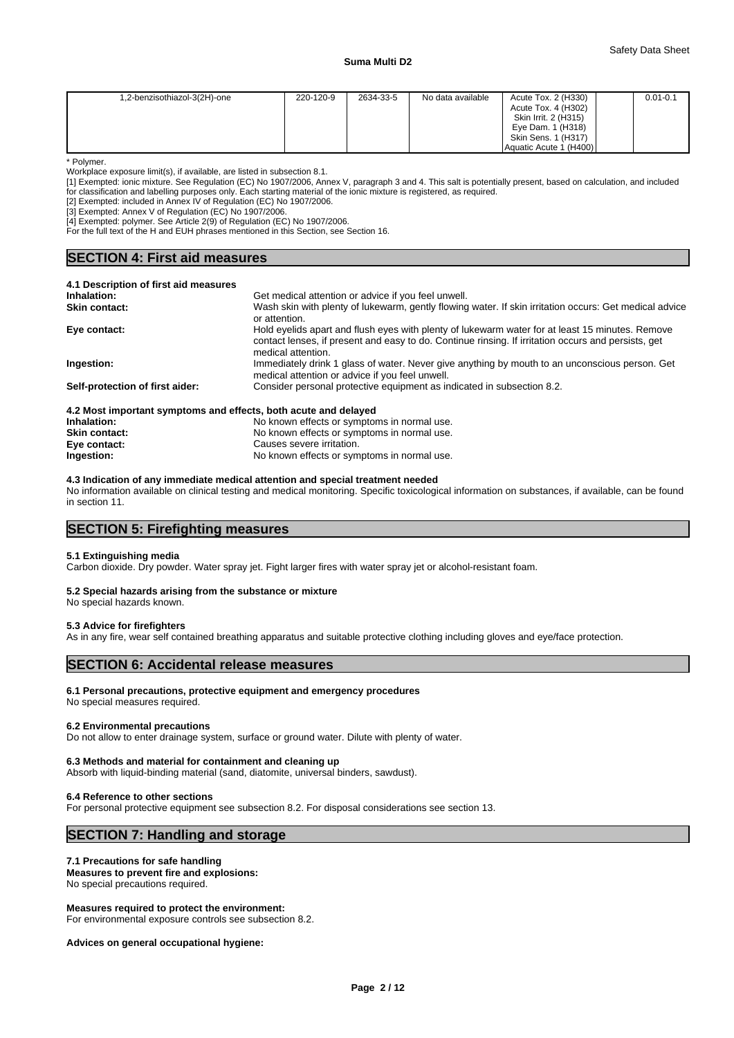| 1,2-benzisothiazol-3(2H)-one | 220-120-9 | 2634-33-5 | No data available | Acute Tox. 2 (H330)<br>Acute Tox. 4 (H302)<br>Skin Irrit. 2 (H315) | $0.01 - 0.1$ |
|------------------------------|-----------|-----------|-------------------|--------------------------------------------------------------------|--------------|
|                              |           |           |                   | Eye Dam. 1 (H318)<br>Skin Sens. 1 (H317)                           |              |
|                              |           |           |                   | Aquatic Acute 1 (H400)                                             |              |

\* Polymer.

Workplace exposure limit(s), if available, are listed in subsection 8.1.

[1] Exempted: ionic mixture. See Regulation (EC) No 1907/2006, Annex V, paragraph 3 and 4. This salt is potentially present, based on calculation, and included for classification and labelling purposes only. Each starting material of the ionic mixture is registered, as required.

[2] Exempted: included in Annex IV of Regulation (EC) No 1907/2006.

[3] Exempted: Annex V of Regulation (EC) No 1907/2006.

**SECTION 4: First aid measures** 

[4] Exempted: polymer. See Article 2(9) of Regulation (EC) No 1907/2006.

For the full text of the H and EUH phrases mentioned in this Section, see Section 16.

| <b>BLUTUR 4. FIISLAIU IIIEASULES</b>  |                                                                                                                                                                                                                              |  |  |  |  |  |
|---------------------------------------|------------------------------------------------------------------------------------------------------------------------------------------------------------------------------------------------------------------------------|--|--|--|--|--|
| 4.1 Description of first aid measures |                                                                                                                                                                                                                              |  |  |  |  |  |
| Inhalation:                           | Get medical attention or advice if you feel unwell.                                                                                                                                                                          |  |  |  |  |  |
| <b>Skin contact:</b>                  | Wash skin with plenty of lukewarm, gently flowing water. If skin irritation occurs: Get medical advice<br>or attention.                                                                                                      |  |  |  |  |  |
| Eye contact:                          | Hold eyelids apart and flush eyes with plenty of lukewarm water for at least 15 minutes. Remove<br>contact lenses, if present and easy to do. Continue rinsing. If irritation occurs and persists, get<br>medical attention. |  |  |  |  |  |
| Ingestion:                            | Immediately drink 1 glass of water. Never give anything by mouth to an unconscious person. Get<br>medical attention or advice if you feel unwell.                                                                            |  |  |  |  |  |

**Self-protection of first aider:** Consider personal protective equipment as indicated in subsection 8.2.

## **4.2 Most important symptoms and effects, both acute and delayed Inhalation:** No known effects or symptoms in normal use.

| Inhalation:          | No known effects or symptoms in normal use. |
|----------------------|---------------------------------------------|
| <b>Skin contact:</b> | No known effects or symptoms in normal use. |
| Eye contact:         | Causes severe irritation.                   |
| Ingestion:           | No known effects or symptoms in normal use. |

**4.3 Indication of any immediate medical attention and special treatment needed**

No information available on clinical testing and medical monitoring. Specific toxicological information on substances, if available, can be found in section 11.

## **SECTION 5: Firefighting measures**

### **5.1 Extinguishing media**

Carbon dioxide. Dry powder. Water spray jet. Fight larger fires with water spray jet or alcohol-resistant foam.

### **5.2 Special hazards arising from the substance or mixture** No special hazards known.

# **5.3 Advice for firefighters**

As in any fire, wear self contained breathing apparatus and suitable protective clothing including gloves and eye/face protection.

## **SECTION 6: Accidental release measures**

### **6.1 Personal precautions, protective equipment and emergency procedures**

No special measures required.

### **6.2 Environmental precautions**

Do not allow to enter drainage system, surface or ground water. Dilute with plenty of water.

### **6.3 Methods and material for containment and cleaning up**

Absorb with liquid-binding material (sand, diatomite, universal binders, sawdust).

### **6.4 Reference to other sections**

For personal protective equipment see subsection 8.2. For disposal considerations see section 13.

# **SECTION 7: Handling and storage**

### **7.1 Precautions for safe handling**

# **Measures to prevent fire and explosions:**

No special precautions required.

## **Measures required to protect the environment:**

For environmental exposure controls see subsection 8.2.

### **Advices on general occupational hygiene:**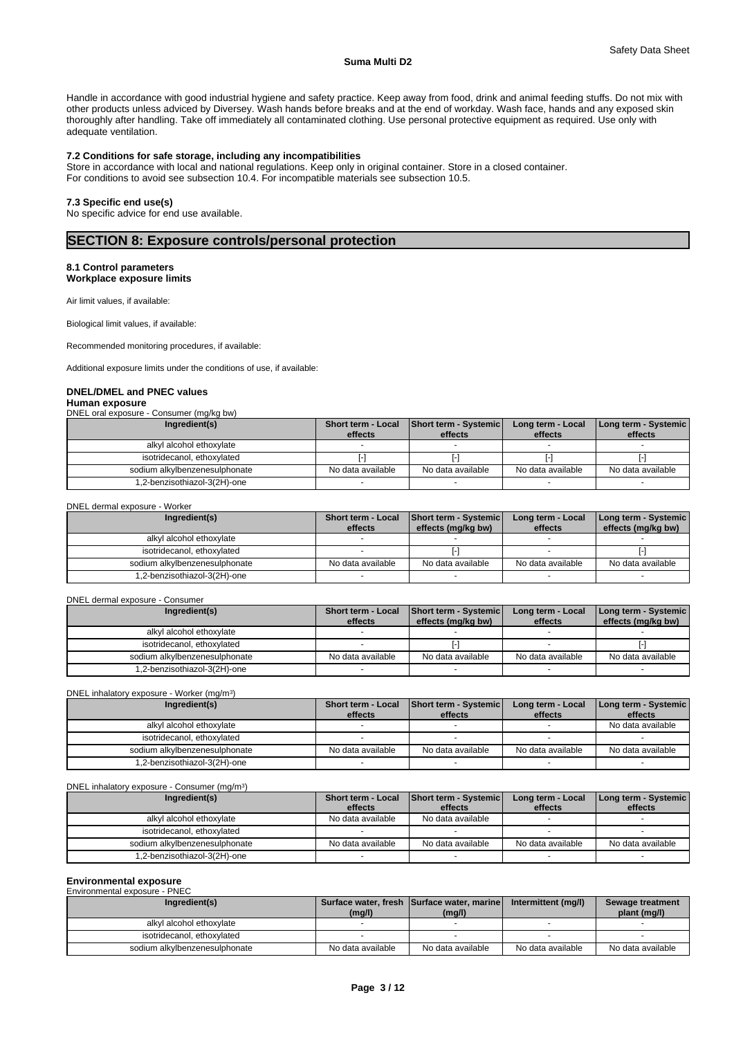### Safety Data Sheet

### **Suma Multi D2**

Handle in accordance with good industrial hygiene and safety practice. Keep away from food, drink and animal feeding stuffs. Do not mix with other products unless adviced by Diversey. Wash hands before breaks and at the end of workday. Wash face, hands and any exposed skin thoroughly after handling. Take off immediately all contaminated clothing. Use personal protective equipment as required. Use only with adequate ventilation.

### **7.2 Conditions for safe storage, including any incompatibilities**

Store in accordance with local and national regulations. Keep only in original container. Store in a closed container. For conditions to avoid see subsection 10.4. For incompatible materials see subsection 10.5.

### **7.3 Specific end use(s)**

No specific advice for end use available.

# **SECTION 8: Exposure controls/personal protection**

### **8.1 Control parameters Workplace exposure limits**

Air limit values, if available:

Biological limit values, if available:

Recommended monitoring procedures, if available:

Additional exposure limits under the conditions of use, if available:

### **DNEL/DMEL and PNEC values Human exposure**

DNEL oral exposure - Consumer (mg/kg bw)

| Ingredient(s)                 | Short term - Local<br>effects | <b>Short term - Systemic</b><br>effects | Long term - Local<br>effects | Long term - Systemic  <br>effects |
|-------------------------------|-------------------------------|-----------------------------------------|------------------------------|-----------------------------------|
| alkyl alcohol ethoxylate      |                               |                                         |                              |                                   |
| isotridecanol, ethoxylated    |                               |                                         |                              |                                   |
| sodium alkylbenzenesulphonate | No data available             | No data available                       | No data available            | No data available                 |
| .2-benzisothiazol-3(2H)-one   |                               |                                         |                              |                                   |

DNEL dermal exposure - Worker

| Ingredient(s)                 | <b>Short term - Local</b><br>effects | Short term - Systemic<br>effects (mg/kg bw) | Long term - Local<br>effects | Long term - Systemic<br>effects (mg/kg bw) |
|-------------------------------|--------------------------------------|---------------------------------------------|------------------------------|--------------------------------------------|
| alkyl alcohol ethoxylate      |                                      |                                             |                              |                                            |
| isotridecanol, ethoxylated    |                                      |                                             |                              |                                            |
| sodium alkylbenzenesulphonate | No data available                    | No data available                           | No data available            | No data available                          |
| .2-benzisothiazol-3(2H)-one   |                                      |                                             |                              |                                            |

### DNEL dermal exposure - Consumer

| Ingredient(s)                 | <b>Short term - Local</b><br>effects | Short term - Systemic<br>effects (mg/kg bw) | Long term - Local<br>effects | Long term - Systemic<br>effects (mg/kg bw) |
|-------------------------------|--------------------------------------|---------------------------------------------|------------------------------|--------------------------------------------|
| alkvl alcohol ethoxvlate      |                                      |                                             |                              |                                            |
| isotridecanol. ethoxvlated    |                                      |                                             |                              |                                            |
| sodium alkylbenzenesulphonate | No data available                    | No data available                           | No data available            | No data available                          |
| .2-benzisothiazol-3(2H)-one   |                                      |                                             |                              |                                            |

| DNEL inhalatory exposure - Worker (mg/m <sup>3</sup> ) |                               |                                         |                              |                                 |  |  |
|--------------------------------------------------------|-------------------------------|-----------------------------------------|------------------------------|---------------------------------|--|--|
| Ingredient(s)                                          | Short term - Local<br>effects | <b>Short term - Systemic</b><br>effects | Long term - Local<br>effects | Long term - Systemic<br>effects |  |  |
| alkyl alcohol ethoxylate                               |                               |                                         |                              | No data available               |  |  |
| isotridecanol, ethoxylated                             |                               |                                         |                              |                                 |  |  |
| sodium alkylbenzenesulphonate                          | No data available             | No data available                       | No data available            | No data available               |  |  |
| .2-benzisothiazol-3(2H)-one                            |                               |                                         |                              |                                 |  |  |

DNEL inhalatory exposure - Consumer (mg/m<sup>3</sup>)  $)$ 

| Ingredient(s)                 | Short term - Local | Short term - Systemic | Long term - Local | Long term - Systemic |
|-------------------------------|--------------------|-----------------------|-------------------|----------------------|
|                               | effects            | effects               | effects           | effects              |
| alkyl alcohol ethoxylate      | No data available  | No data available     |                   |                      |
| isotridecanol, ethoxylated    |                    |                       |                   |                      |
| sodium alkylbenzenesulphonate | No data available  | No data available     | No data available | No data available    |
| 1,2-benzisothiazol-3(2H)-one  |                    |                       |                   |                      |

# **Environmental exposure**

| Environmental exposure - PNEC |                   |                                                      |                     |                                  |
|-------------------------------|-------------------|------------------------------------------------------|---------------------|----------------------------------|
| Ingredient(s)                 | (mg/l)            | Surface water, fresh Surface water, marine<br>(mg/l) | Intermittent (mg/l) | Sewage treatment<br>plant (mg/l) |
| alkyl alcohol ethoxylate      |                   |                                                      |                     |                                  |
| isotridecanol, ethoxylated    |                   |                                                      |                     |                                  |
| sodium alkylbenzenesulphonate | No data available | No data available                                    | No data available   | No data available                |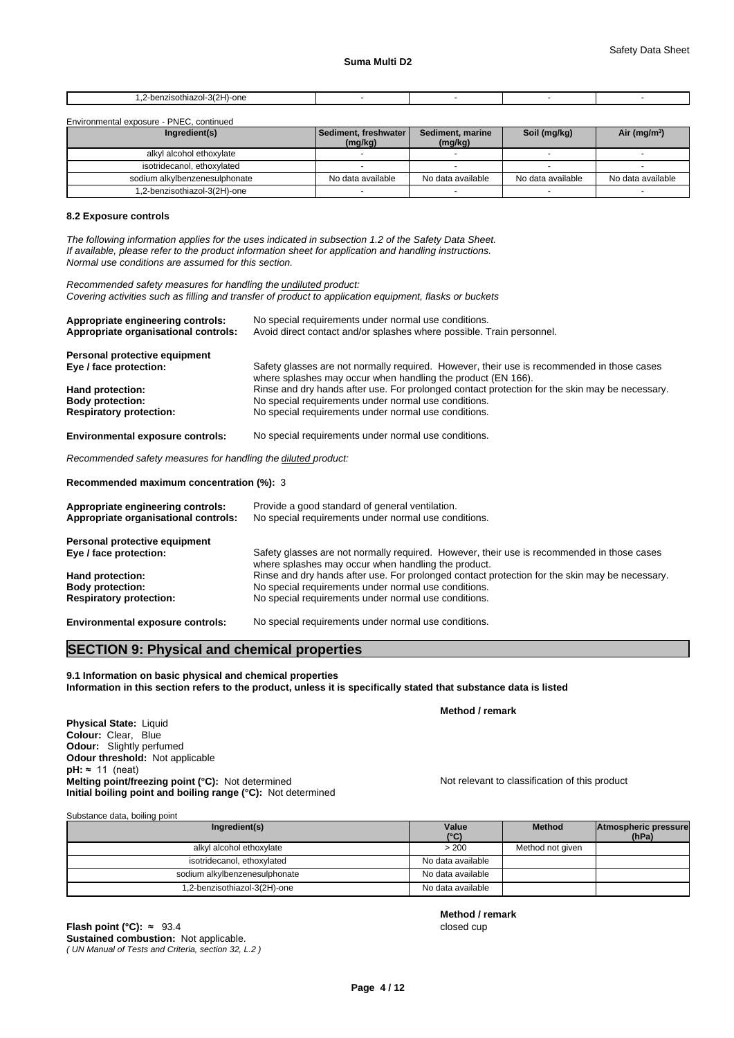| $\sim$<br>n,<br>∙one<br>oına<br>--<br>$1 - 21$<br>$\sim$ $\sim$ |  |  |
|-----------------------------------------------------------------|--|--|
|                                                                 |  |  |

Environmental exposure - PNEC, continued

| Ingredient(s)                 | Sediment, freshwater  <br>(mg/kg) | Sediment, marine<br>(mg/kg) | Soil (mg/kg)      | Air ( $mg/m3$ )   |
|-------------------------------|-----------------------------------|-----------------------------|-------------------|-------------------|
| alkyl alcohol ethoxylate      |                                   |                             |                   |                   |
| isotridecanol, ethoxylated    |                                   |                             |                   |                   |
| sodium alkylbenzenesulphonate | No data available                 | No data available           | No data available | No data available |
| 1,2-benzisothiazol-3(2H)-one  |                                   |                             |                   |                   |

### **8.2 Exposure controls**

*The following information applies for the uses indicated in subsection 1.2 of the Safety Data Sheet. If available, please refer to the product information sheet for application and handling instructions. Normal use conditions are assumed for this section.*

*Recommended safety measures for handling the undiluted product: Covering activities such as filling and transfer of product to application equipment, flasks or buckets*

| Appropriate engineering controls:                                         | No special requirements under normal use conditions.                                                                                                       |
|---------------------------------------------------------------------------|------------------------------------------------------------------------------------------------------------------------------------------------------------|
| Appropriate organisational controls:                                      | Avoid direct contact and/or splashes where possible. Train personnel.                                                                                      |
| Personal protective equipment                                             |                                                                                                                                                            |
| Eye / face protection:                                                    | Safety glasses are not normally required. However, their use is recommended in those cases<br>where splashes may occur when handling the product (EN 166). |
| Hand protection:                                                          | Rinse and dry hands after use. For prolonged contact protection for the skin may be necessary.                                                             |
| <b>Body protection:</b>                                                   | No special requirements under normal use conditions.                                                                                                       |
| <b>Respiratory protection:</b>                                            | No special requirements under normal use conditions.                                                                                                       |
| <b>Environmental exposure controls:</b>                                   | No special requirements under normal use conditions.                                                                                                       |
| Recommended safety measures for handling the diluted product:             |                                                                                                                                                            |
| Recommended maximum concentration (%): 3                                  |                                                                                                                                                            |
| Appropriate engineering controls:<br>Appropriate organisational controls: | Provide a good standard of general ventilation.<br>No special requirements under normal use conditions.                                                    |
| Personal protective equipment                                             |                                                                                                                                                            |
| Eye / face protection:                                                    | Safety glasses are not normally required. However, their use is recommended in those cases<br>where splashes may occur when handling the product.          |
| Hand protection:                                                          | Rinse and dry hands after use. For prolonged contact protection for the skin may be necessary.                                                             |
| <b>Body protection:</b>                                                   | No special requirements under normal use conditions.                                                                                                       |
| <b>Respiratory protection:</b>                                            | No special requirements under normal use conditions.                                                                                                       |
| <b>Environmental exposure controls:</b>                                   | No special requirements under normal use conditions.                                                                                                       |

# **SECTION 9: Physical and chemical properties**

**9.1 Information on basic physical and chemical properties Information in this section refers to the product, unless it is specifically stated that substance data is listed**

**Physical State: Liquid Colour:** Clear, Blue **Odour:** Slightly perfumed **Odour threshold:** Not applicable **pH:** ≈ 11 (neat) **Melting point/freezing point (°C):** Not determined Not relevant to classification of this product **Initial boiling point and boiling range (°C):** Not determined

**Method / remark**

Substance data, boiling point

| Capotarioo adta, bolling politic |                        |                  |                               |  |  |  |  |
|----------------------------------|------------------------|------------------|-------------------------------|--|--|--|--|
| Ingredient(s)                    | Value<br>$(^{\circ}C)$ | <b>Method</b>    | Atmospheric pressure<br>(hPa) |  |  |  |  |
| alkyl alcohol ethoxylate         | > 200                  | Method not given |                               |  |  |  |  |
| isotridecanol, ethoxylated       | No data available      |                  |                               |  |  |  |  |
| sodium alkylbenzenesulphonate    | No data available      |                  |                               |  |  |  |  |
| .2-benzisothiazol-3(2H)-one      | No data available      |                  |                               |  |  |  |  |

**Method / remark**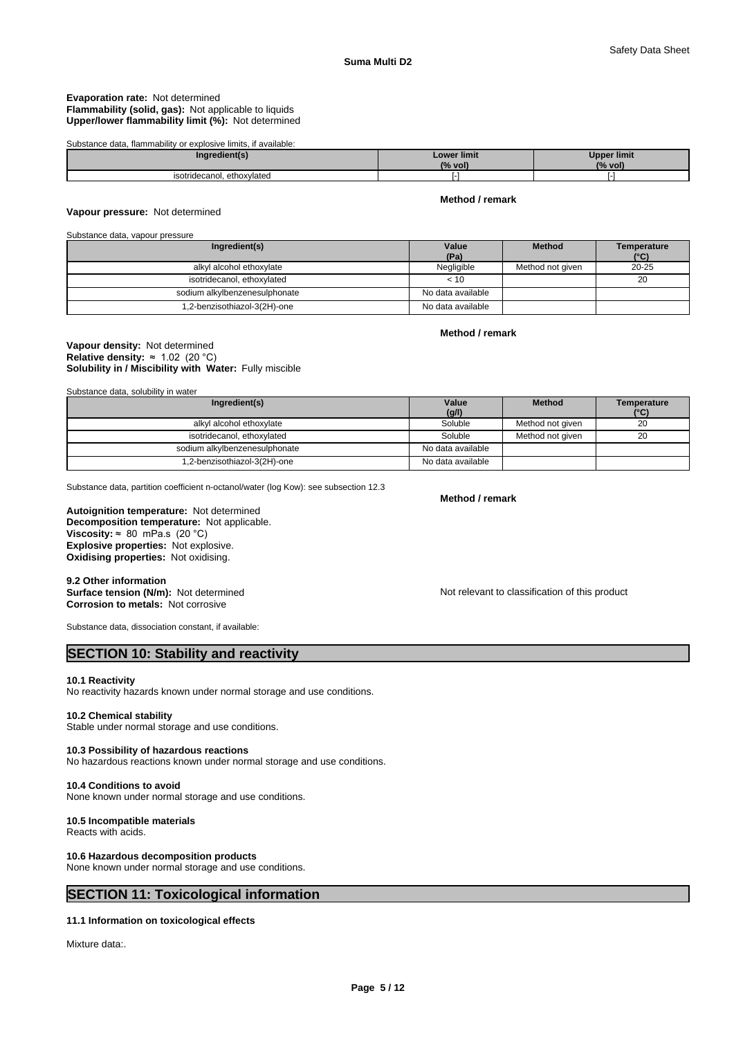### **Evaporation rate:** Not determined **Flammability (solid, gas):** Not applicable to liquids **Upper/lower flammability limit (%):** Not determined

### Substance data, flammability or explosive limits, if available:

| Ingredient(s)                       | <b>Lower limit</b><br>(% vol) | <b>Upper limit</b><br>(% vol) |
|-------------------------------------|-------------------------------|-------------------------------|
| tridecanol.<br>ethoxylated<br>isoti |                               |                               |

### **Vapour pressure:** Not determined

### **Method / remark**

## Substance data, vapour pressure

| Ingredient(s)                 | Value<br>(Pa)     | <b>Method</b>    | Temperature<br>$(^{\circ}C)$ |
|-------------------------------|-------------------|------------------|------------------------------|
| alkyl alcohol ethoxylate      | Negligible        | Method not given | $20 - 25$                    |
| isotridecanol, ethoxylated    | < 10              |                  | 20                           |
| sodium alkylbenzenesulphonate | No data available |                  |                              |
| 1,2-benzisothiazol-3(2H)-one  | No data available |                  |                              |

### **Method / remark**

### **Solubility in / Miscibility with Water:** Fully miscible **Vapour density:** Not determined **Relative density:** ≈1.02(20°C)

Substance data, solubility in water

| Ingredient(s)                 | Value             | <b>Method</b>    | Temperature |
|-------------------------------|-------------------|------------------|-------------|
|                               | (g/l)             |                  | (°C)        |
| alkyl alcohol ethoxylate      | Soluble           | Method not given | 20          |
| isotridecanol, ethoxylated    | Soluble           | Method not given | 20          |
| sodium alkylbenzenesulphonate | No data available |                  |             |
| 1,2-benzisothiazol-3(2H)-one  | No data available |                  |             |

Substance data, partition coefficient n-octanol/water (log Kow): see subsection 12.3

### **Decomposition temperature:** Not applicable. **Autoignition temperature:** Not determined **Viscosity:**  $\approx$  80 mPa.s (20 °C)

**Explosive properties:** Not explosive. **Oxidising properties:** Not oxidising.

### **9.2 Other information Surface tension (N/m):** Not determined **Notification of this product** Not relevant to classification of this product **Corrosion to metals:** Not corrosive

Substance data, dissociation constant, if available:

# **SECTION 10: Stability and reactivity**

### **10.1 Reactivity**

No reactivity hazards known under normal storage and use conditions.

### **10.2 Chemical stability**

Stable under normal storage and use conditions.

### **10.3 Possibility of hazardous reactions**

No hazardous reactions known under normal storage and use conditions.

### **10.4 Conditions to avoid**

None known under normal storage and use conditions.

### **10.5 Incompatible materials** Reacts with acids.

## **10.6 Hazardous decomposition products**

None known under normal storage and use conditions.

# **SECTION 11: Toxicological information**

### **11.1 Information on toxicological effects**

Mixture data:.

**Method / remark**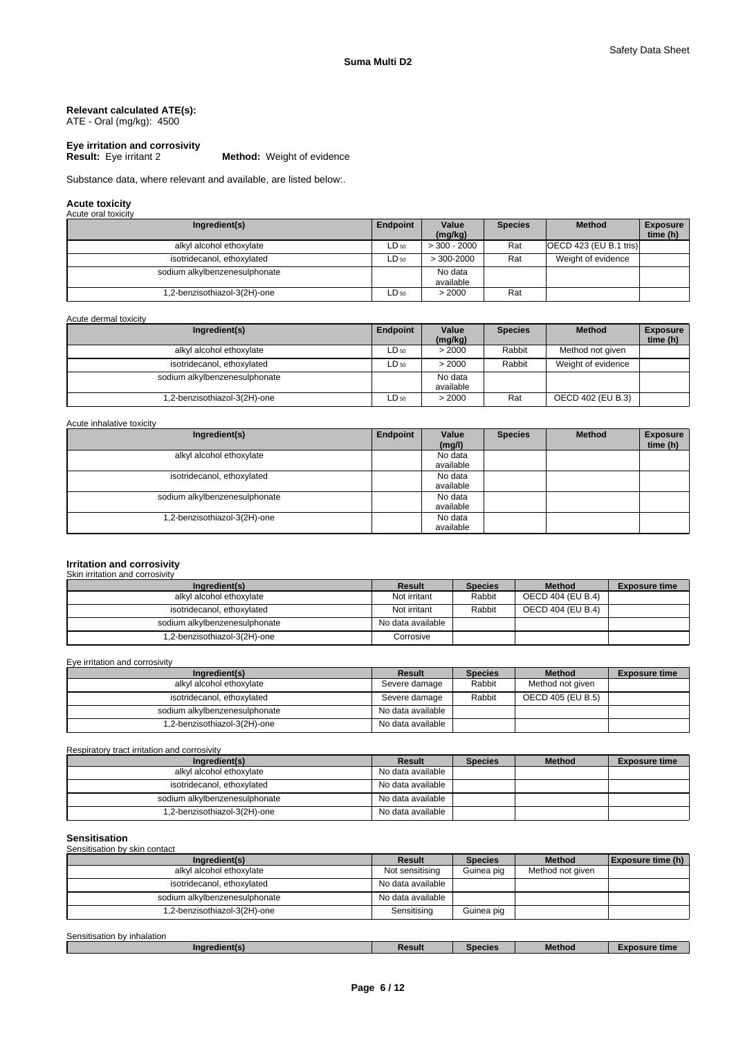### **Relevant calculated ATE(s):** ATE - Oral (mg/kg): 4500

# **Eye irritation and corrosivity**

**Method:** Weight of evidence

Substance data, where relevant and available, are listed below:.

# **Acute toxicity** Acute oral toxicity

| $1$ to grow of the restriction $\mathbf{r}$ |                 |                      |                |                         |                             |
|---------------------------------------------|-----------------|----------------------|----------------|-------------------------|-----------------------------|
| Ingredient(s)                               | <b>Endpoint</b> | Value<br>(mq/kg)     | <b>Species</b> | <b>Method</b>           | <b>Exposure</b><br>time (h) |
| alkyl alcohol ethoxylate                    | LD 50           | $>$ 300 - 2000       | Rat            | $OCD$ 423 (EU B.1 tris) |                             |
| isotridecanol, ethoxylated                  | $LD_{50}$       | $>$ 300-2000         | Rat            | Weight of evidence      |                             |
| sodium alkylbenzenesulphonate               |                 | No data<br>available |                |                         |                             |
| 1,2-benzisothiazol-3(2H)-one                | $LD_{50}$       | > 2000               | Rat            |                         |                             |

Acute dermal toxicity

| Ingredient(s)                 | <b>Endpoint</b> | Value<br>(mg/kg)     | <b>Species</b> | <b>Method</b>      | <b>Exposure</b><br>time (h) |
|-------------------------------|-----------------|----------------------|----------------|--------------------|-----------------------------|
| alkyl alcohol ethoxylate      | $LD_{50}$       | > 2000               | Rabbit         | Method not given   |                             |
| isotridecanol, ethoxylated    | $LD_{50}$       | > 2000               | Rabbit         | Weight of evidence |                             |
| sodium alkylbenzenesulphonate |                 | No data<br>available |                |                    |                             |
| .2-benzisothiazol-3(2H)-one   | $LD_{50}$       | > 2000               | Rat            | OECD 402 (EU B.3)  |                             |

Acute inhalative toxicity

| Ingredient(s)                 | Endpoint | Value<br>(mg/l)      | <b>Species</b> | <b>Method</b> | <b>Exposure</b><br>time (h) |
|-------------------------------|----------|----------------------|----------------|---------------|-----------------------------|
| alkyl alcohol ethoxylate      |          | No data<br>available |                |               |                             |
| isotridecanol, ethoxylated    |          | No data<br>available |                |               |                             |
| sodium alkylbenzenesulphonate |          | No data<br>available |                |               |                             |
| .2-benzisothiazol-3(2H)-one   |          | No data<br>available |                |               |                             |

### **Irritation and corrosivity**

# Skin irritation and corrosivity

| Ingredient(s)                 | Result            | <b>Species</b> | <b>Method</b>     | <b>Exposure time</b> |
|-------------------------------|-------------------|----------------|-------------------|----------------------|
| alkyl alcohol ethoxylate      | Not irritant      | Rabbit         | OECD 404 (EU B.4) |                      |
| isotridecanol, ethoxylated    | Not irritant      | Rabbit         | OECD 404 (EU B.4) |                      |
| sodium alkylbenzenesulphonate | No data available |                |                   |                      |
| 1,2-benzisothiazol-3(2H)-one  | Corrosive         |                |                   |                      |

Eye irritation and corrosivity

| Ingredient(s)                 | Result            | <b>Species</b> | <b>Method</b>     | <b>Exposure time</b> |
|-------------------------------|-------------------|----------------|-------------------|----------------------|
| alkyl alcohol ethoxylate      | Severe damage     | Rabbit         | Method not given  |                      |
| isotridecanol, ethoxylated    | Severe damage     | Rabbit         | OECD 405 (EU B.5) |                      |
| sodium alkylbenzenesulphonate | No data available |                |                   |                      |
| 1,2-benzisothiazol-3(2H)-one  | No data available |                |                   |                      |

### Respiratory tract irritation and corrosivity

| Ingredient(s)                 | Result            | <b>Species</b> | <b>Method</b> | <b>Exposure time</b> |
|-------------------------------|-------------------|----------------|---------------|----------------------|
| alkyl alcohol ethoxylate      | No data available |                |               |                      |
| isotridecanol, ethoxylated    | No data available |                |               |                      |
| sodium alkylbenzenesulphonate | No data available |                |               |                      |
| 1,2-benzisothiazol-3(2H)-one  | No data available |                |               |                      |

### **Sensitisation** Sensitisation by skin contact

| Ingredient(s)                 | <b>Result</b>     | <b>Species</b> | <b>Method</b>    | Exposure time (h) |
|-------------------------------|-------------------|----------------|------------------|-------------------|
| alkyl alcohol ethoxylate      | Not sensitising   | Guinea pig     | Method not given |                   |
| isotridecanol, ethoxylated    | No data available |                |                  |                   |
| sodium alkylbenzenesulphonate | No data available |                |                  |                   |
| 1,2-benzisothiazol-3(2H)-one  | Sensitising       | Guinea pig     |                  |                   |

Sensitisation by inhalation

| redient(s)<br>ınar | Result | <b>Species</b> | -<br>Method | osure time<br><b><i><u>Property</u></i></b> |  |
|--------------------|--------|----------------|-------------|---------------------------------------------|--|
|                    |        |                |             |                                             |  |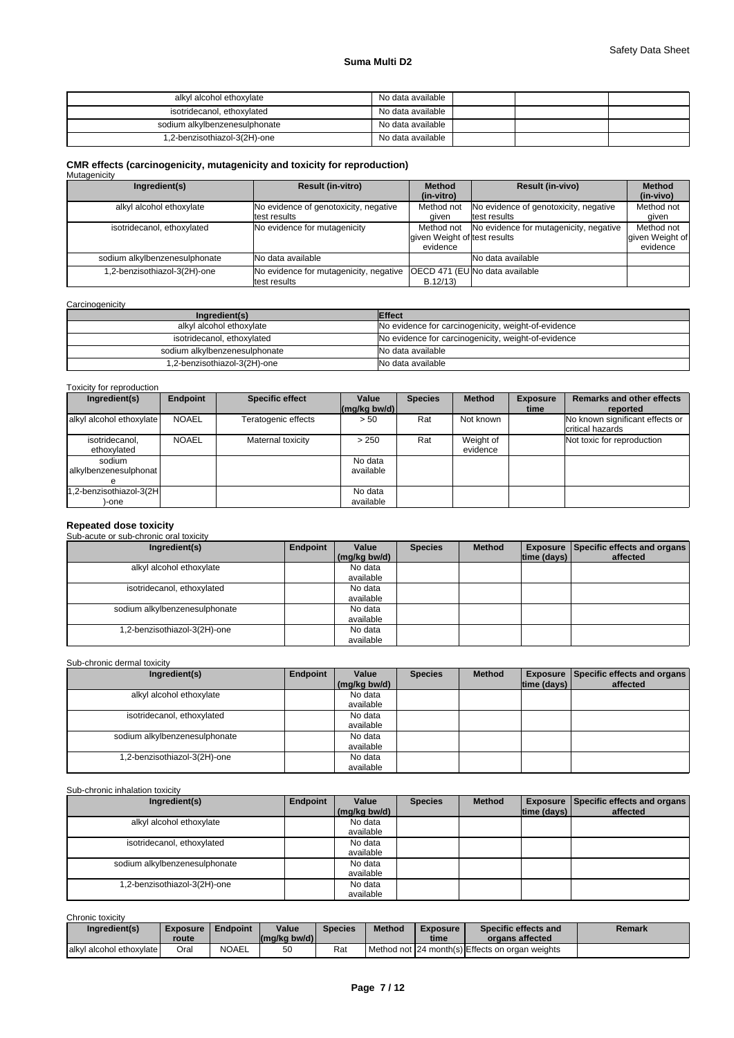# **Suma Multi D2**

| alkyl alcohol ethoxylate      | No data available |  |  |
|-------------------------------|-------------------|--|--|
| isotridecanol, ethoxylated    | No data available |  |  |
| sodium alkylbenzenesulphonate | No data available |  |  |
| 1,2-benzisothiazol-3(2H)-one  | No data available |  |  |

# **CMR effects (carcinogenicity, mutagenicity and toxicity for reproduction)**

| Mutagenicity                  |                                                        |                                                        |                                                       |                                           |
|-------------------------------|--------------------------------------------------------|--------------------------------------------------------|-------------------------------------------------------|-------------------------------------------|
| Ingredient(s)                 | <b>Result (in-vitro)</b>                               | <b>Method</b><br>(in-vitro)                            | <b>Result (in-vivo)</b>                               | <b>Method</b><br>(in-vivo)                |
| alkyl alcohol ethoxylate      | No evidence of genotoxicity, negative<br>test results  | Method not<br>aiven                                    | No evidence of genotoxicity, negative<br>test results | Method not<br>aiven                       |
| isotridecanol, ethoxylated    | No evidence for mutagenicity                           | Method not<br>given Weight of test results<br>evidence | No evidence for mutagenicity, negative                | Method not<br>given Weight of<br>evidence |
| sodium alkylbenzenesulphonate | <b>No data available</b>                               |                                                        | No data available                                     |                                           |
| 1,2-benzisothiazol-3(2H)-one  | No evidence for mutagenicity, negative<br>test results | B.12/13                                                | IOECD 471 (EUINo data available                       |                                           |

### **Carcinogenicity**

| Ingredient(s)                 | <b>Effect</b>                                       |
|-------------------------------|-----------------------------------------------------|
| alkyl alcohol ethoxylate      | No evidence for carcinogenicity, weight-of-evidence |
| isotridecanol, ethoxylated    | No evidence for carcinogenicity, weight-of-evidence |
| sodium alkylbenzenesulphonate | No data available                                   |
| 1.2-benzisothiazol-3(2H)-one  | No data available                                   |

### Toxicity for reproduction

| Ingredient(s)                    | <b>Endpoint</b> | <b>Specific effect</b> | Value<br>$\left \frac{\text{mg}}{\text{kg}}\right $ | <b>Species</b> | <b>Method</b>         | <b>Exposure</b><br>time | <b>Remarks and other effects</b><br>reported        |
|----------------------------------|-----------------|------------------------|-----------------------------------------------------|----------------|-----------------------|-------------------------|-----------------------------------------------------|
| alkyl alcohol ethoxylate         | <b>NOAEL</b>    | Teratogenic effects    | > 50                                                | Rat            | Not known             |                         | No known significant effects or<br>critical hazards |
| isotridecanol,<br>ethoxylated    | <b>NOAEL</b>    | Maternal toxicity      | > 250                                               | Rat            | Weight of<br>evidence |                         | Not toxic for reproduction                          |
| sodium<br>alkylbenzenesulphonat  |                 |                        | No data<br>available                                |                |                       |                         |                                                     |
| 1,2-benzisothiazol-3(2H<br>)-one |                 |                        | No data<br>available                                |                |                       |                         |                                                     |

# **Repeated dose toxicity** Sub-acute or sub-chronic oral toxicity

#### **Ingredient(s) Endpoint Value** Species **(mg/kg bw/d) Species | Method | Exposure | Specific effects and organs | time (days) affected**  alkyl alcohol ethoxylate No data available<br>No data isotridecanol, ethoxylated available<br>No data sodium alkylbenzenesulphonate available<br>No data 1,2-benzisothiazol-3(2H)-one

#### Sub-chronic dermal toxicity

| Ingredient(s)                 | Endpoint | Value<br>(mg/kg bw/d) | <b>Species</b> | <b>Method</b> | time (days) | <b>Exposure   Specific effects and organs  </b><br>affected |
|-------------------------------|----------|-----------------------|----------------|---------------|-------------|-------------------------------------------------------------|
| alkyl alcohol ethoxylate      |          | No data<br>available  |                |               |             |                                                             |
| isotridecanol, ethoxylated    |          | No data<br>available  |                |               |             |                                                             |
| sodium alkylbenzenesulphonate |          | No data<br>available  |                |               |             |                                                             |
| 1,2-benzisothiazol-3(2H)-one  |          | No data<br>available  |                |               |             |                                                             |

available

### Sub-chronic inhalation toxicity

| Ingredient(s)                 | Endpoint | Value<br>(mg/kg bw/d) | <b>Species</b> | <b>Method</b> | $ time$ (days) $ $ | <b>Exposure   Specific effects and organs  </b><br>affected |
|-------------------------------|----------|-----------------------|----------------|---------------|--------------------|-------------------------------------------------------------|
| alkyl alcohol ethoxylate      |          | No data               |                |               |                    |                                                             |
|                               |          | available             |                |               |                    |                                                             |
| isotridecanol, ethoxylated    |          | No data               |                |               |                    |                                                             |
|                               |          | available             |                |               |                    |                                                             |
| sodium alkylbenzenesulphonate |          | No data               |                |               |                    |                                                             |
|                               |          | available             |                |               |                    |                                                             |
| 1,2-benzisothiazol-3(2H)-one  |          | No data               |                |               |                    |                                                             |
|                               |          | available             |                |               |                    |                                                             |

Chronic toxicity

| -------------------      |                          |              |                         |         |               |                         |                                                 |        |
|--------------------------|--------------------------|--------------|-------------------------|---------|---------------|-------------------------|-------------------------------------------------|--------|
| Ingredient(s)            | <b>Exposure</b><br>route | Endpoint     | Value<br>$(mq/kg$ bw/d) | Species | <b>Method</b> | <b>Exposure</b><br>time | Specific effects and<br>organs affected         | Remark |
| alkyl alcohol ethoxylate | Oral                     | <b>NOAEL</b> | 50                      | Rat     |               |                         | Method not 24 month(s) Effects on organ weights |        |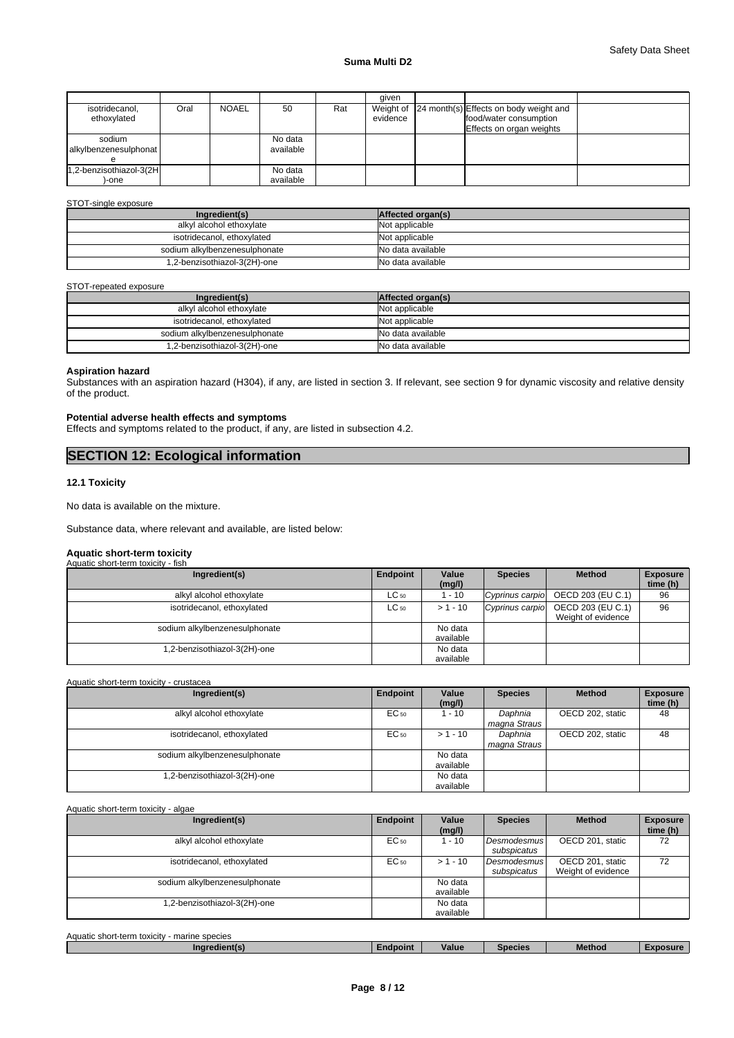|                                 |      |              |                      |     | aiven    |                                                                                                        |  |
|---------------------------------|------|--------------|----------------------|-----|----------|--------------------------------------------------------------------------------------------------------|--|
| isotridecanol,<br>ethoxylated   | Oral | <b>NOAEL</b> | 50                   | Rat | evidence | Weight of 24 month(s) Effects on body weight and<br>food/water consumption<br>Effects on organ weights |  |
| sodium<br>alkylbenzenesulphonat |      |              | No data<br>available |     |          |                                                                                                        |  |
| 1,2-benzisothiazol-3(2H<br>-one |      |              | No data<br>available |     |          |                                                                                                        |  |

### STOT-single exposure

| Ingredient(s)                 | Affected organ(s) |
|-------------------------------|-------------------|
| alkyl alcohol ethoxylate      | Not applicable    |
| isotridecanol, ethoxylated    | Not applicable    |
| sodium alkylbenzenesulphonate | No data available |
| 1,2-benzisothiazol-3(2H)-one  | No data available |

### STOT-repeated exposure

| Ingredient(s)                 | Affected organ(s) |
|-------------------------------|-------------------|
| alkyl alcohol ethoxylate      | Not applicable    |
| isotridecanol, ethoxylated    | Not applicable    |
| sodium alkylbenzenesulphonate | No data available |
| 1,2-benzisothiazol-3(2H)-one  | No data available |

### **Aspiration hazard**

Substances with an aspiration hazard (H304), if any, are listed in section 3. If relevant, see section 9 for dynamic viscosity and relative density of the product.

### **Potential adverse health effects and symptoms**

Effects and symptoms related to the product, if any, are listed in subsection 4.2.

# **SECTION 12: Ecological information**

# **12.1 Toxicity**

No data is available on the mixture.

Substance data, where relevant and available, are listed below:

### **Aquatic short-term toxicity** Aquatic short-term toxicity - fish

| Ingredient(s)                 | Endpoint  | Value      | <b>Species</b>  | <b>Method</b>      | <b>Exposure</b> |
|-------------------------------|-----------|------------|-----------------|--------------------|-----------------|
|                               |           | (mg/l)     |                 |                    | time (h)        |
| alkyl alcohol ethoxylate      | $LC_{50}$ | 1 - 10     | Cyprinus carpio | OECD 203 (EU C.1)  | 96              |
| isotridecanol, ethoxylated    | $LC_{50}$ | $> 1 - 10$ | Cyprinus carpio | OECD 203 (EU C.1)  | 96              |
|                               |           |            |                 | Weight of evidence |                 |
| sodium alkylbenzenesulphonate |           | No data    |                 |                    |                 |
|                               |           | available  |                 |                    |                 |
| .2-benzisothiazol-3(2H)-one   |           | No data    |                 |                    |                 |
|                               |           | available  |                 |                    |                 |

### Aquatic short-term toxicity - crustacea

| Ingredient(s)                 | Endpoint | Value<br>(mg/l)      | <b>Species</b>          | <b>Method</b>    | <b>Exposure</b><br>time (h) |
|-------------------------------|----------|----------------------|-------------------------|------------------|-----------------------------|
| alkyl alcohol ethoxylate      | EC 50    | 1 - 10               | Daphnia<br>magna Straus | OECD 202, static | 48                          |
| isotridecanol, ethoxylated    | EC 50    | $> 1 - 10$           | Daphnia<br>magna Straus | OECD 202, static | 48                          |
| sodium alkylbenzenesulphonate |          | No data<br>available |                         |                  |                             |
| .2-benzisothiazol-3(2H)-one   |          | No data<br>available |                         |                  |                             |

### Aquatic short-term toxicity - algae

| Ingredient(s)                 | Endpoint | Value<br>(mg/l)      | <b>Species</b>                    | <b>Method</b>                          | <b>Exposure</b><br>time (h) |
|-------------------------------|----------|----------------------|-----------------------------------|----------------------------------------|-----------------------------|
| alkyl alcohol ethoxylate      | EC 50    | l - 10               | <b>Desmodesmus</b><br>subspicatus | OECD 201, static                       | 72                          |
| isotridecanol, ethoxylated    | EC 50    | $> 1 - 10$           | <b>Desmodesmus</b><br>subspicatus | OECD 201, static<br>Weight of evidence | 72                          |
| sodium alkylbenzenesulphonate |          | No data<br>available |                                   |                                        |                             |
| .2-benzisothiazol-3(2H)-one   |          | No data<br>available |                                   |                                        |                             |

| Aquatic short-term toxicity<br>marine species |          |       |                |        |                 |
|-----------------------------------------------|----------|-------|----------------|--------|-----------------|
| Ingredient(s)                                 | Endpoint | Value | <b>Species</b> | Method | <b>Exposure</b> |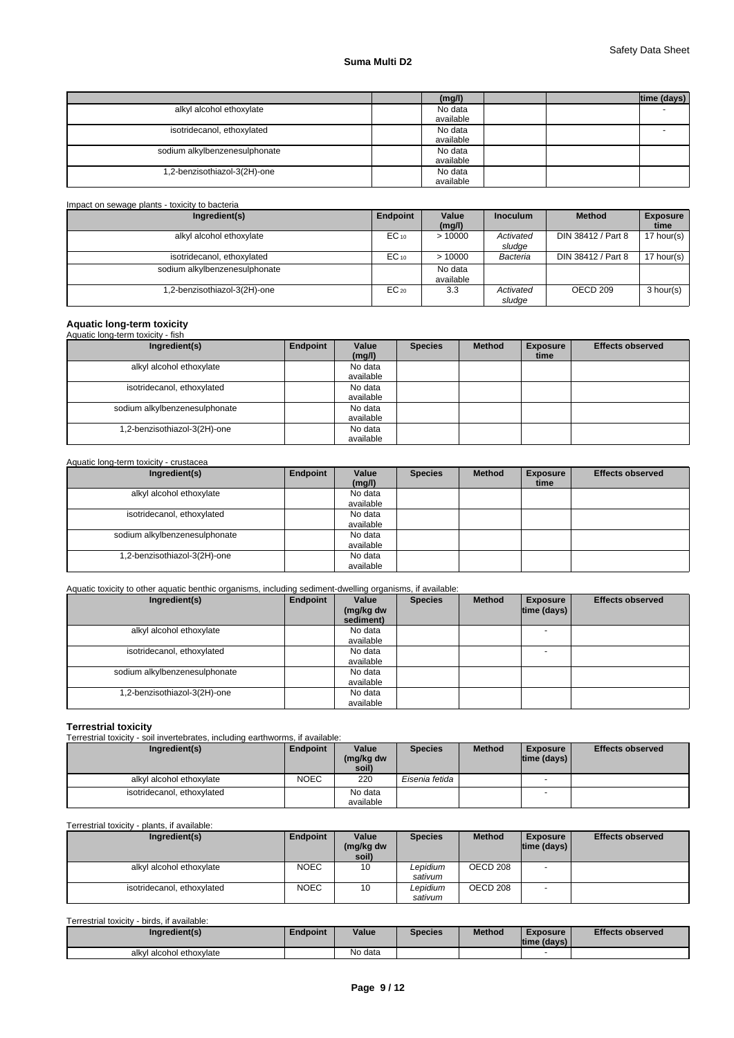# **Suma Multi D2**

|                               | (mg/l)               | time (days) |
|-------------------------------|----------------------|-------------|
| alkyl alcohol ethoxylate      | No data<br>available |             |
| isotridecanol, ethoxylated    | No data<br>available |             |
| sodium alkylbenzenesulphonate | No data<br>available |             |
| 1,2-benzisothiazol-3(2H)-one  | No data<br>available |             |

### Impact on sewage plants - toxicity to bacteria

| Ingredient(s)                 | Endpoint  | Value<br>(mq/l)      | <b>Inoculum</b>     | <b>Method</b>       | <b>Exposure</b><br>time |
|-------------------------------|-----------|----------------------|---------------------|---------------------|-------------------------|
| alkyl alcohol ethoxylate      | $EC_{10}$ | >10000               | Activated<br>sludge | DIN 38412 / Part 8  | 17 hour(s) $\vert$      |
| isotridecanol, ethoxylated    | $EC_{10}$ | >10000               | Bacteria            | DIN 38412 / Part 8  | 17 hour(s)              |
| sodium alkylbenzenesulphonate |           | No data<br>available |                     |                     |                         |
| .2-benzisothiazol-3(2H)-one   | $EC_{20}$ | 3.3                  | Activated<br>sludge | OECD <sub>209</sub> | 3 hour(s)               |

# **Aquatic long-term toxicity** Aquatic long-term toxicity - fish

| Aquatic forig-term toxicity - fish |          |           |                |               |                 |                         |
|------------------------------------|----------|-----------|----------------|---------------|-----------------|-------------------------|
| Ingredient(s)                      | Endpoint | Value     | <b>Species</b> | <b>Method</b> | <b>Exposure</b> | <b>Effects observed</b> |
|                                    |          | (mg/l)    |                |               | time            |                         |
| alkyl alcohol ethoxylate           |          | No data   |                |               |                 |                         |
|                                    |          | available |                |               |                 |                         |
| isotridecanol, ethoxylated         |          | No data   |                |               |                 |                         |
|                                    |          | available |                |               |                 |                         |
| sodium alkylbenzenesulphonate      |          | No data   |                |               |                 |                         |
|                                    |          | available |                |               |                 |                         |
| 1,2-benzisothiazol-3(2H)-one       |          | No data   |                |               |                 |                         |
|                                    |          | available |                |               |                 |                         |

### Aquatic long-term toxicity - crustacea

| Ingredient(s)                 | Endpoint | Value<br>(mg/l)      | <b>Species</b> | <b>Method</b> | <b>Exposure</b><br>time | <b>Effects observed</b> |
|-------------------------------|----------|----------------------|----------------|---------------|-------------------------|-------------------------|
| alkyl alcohol ethoxylate      |          | No data<br>available |                |               |                         |                         |
| isotridecanol, ethoxylated    |          | No data<br>available |                |               |                         |                         |
| sodium alkylbenzenesulphonate |          | No data<br>available |                |               |                         |                         |
| .2-benzisothiazol-3(2H)-one   |          | No data<br>available |                |               |                         |                         |

# Aquatic toxicity to other aquatic benthic organisms, including sediment-dwelling organisms, if available:

| Ingredient(s)                 | Endpoint | Value<br>(mg/kg dw<br>sediment) | <b>Species</b> | <b>Method</b> | <b>Exposure</b><br>$ time$ (days) $ $ | <b>Effects observed</b> |
|-------------------------------|----------|---------------------------------|----------------|---------------|---------------------------------------|-------------------------|
| alkyl alcohol ethoxylate      |          | No data                         |                |               |                                       |                         |
|                               |          | available                       |                |               |                                       |                         |
| isotridecanol, ethoxylated    |          | No data                         |                |               |                                       |                         |
|                               |          | available                       |                |               |                                       |                         |
| sodium alkylbenzenesulphonate |          | No data                         |                |               |                                       |                         |
|                               |          | available                       |                |               |                                       |                         |
| .2-benzisothiazol-3(2H)-one   |          | No data                         |                |               |                                       |                         |
|                               |          | available                       |                |               |                                       |                         |

**Terrestrial toxicity** Terrestrial toxicity - soil invertebrates, including earthworms, if available:

| Ingredient(s)              | <b>Endpoint</b> | Value<br>(mg/kg dw   | <b>Species</b> | <b>Method</b> | <b>Exposure</b><br>$ time$ (days) $ $ | <b>Effects observed</b> |
|----------------------------|-----------------|----------------------|----------------|---------------|---------------------------------------|-------------------------|
|                            |                 | soil)                |                |               |                                       |                         |
| alkyl alcohol ethoxylate   | <b>NOEC</b>     | 220                  | Eisenia fetida |               |                                       |                         |
| isotridecanol, ethoxylated |                 | No data<br>available |                |               |                                       |                         |

### Terrestrial toxicity - plants, if available:

| Ingredient(s)                               | Endpoint    | Value<br>(mg/kg dw<br>soil) | <b>Species</b>      | <b>Method</b> | <b>Exposure</b><br>$ time$ (days) $ $ | <b>Effects observed</b> |
|---------------------------------------------|-------------|-----------------------------|---------------------|---------------|---------------------------------------|-------------------------|
| alkyl alcohol ethoxylate                    | <b>NOEC</b> | 10                          | Lepidium<br>sativum | OECD 208      |                                       |                         |
| isotridecanol, ethoxylated                  | <b>NOEC</b> | 10                          | Lepidium<br>sativum | OECD 208      | $\overline{\phantom{a}}$              |                         |
| Terrestrial toxicity - birds, if available: |             |                             |                     |               |                                       |                         |

| Ingredient(s)                | <b>Endpoint</b> | Value   | <b>Species</b> | <b>Method</b> | Exposure<br> time (days) | <b>Effects observed</b> |
|------------------------------|-----------------|---------|----------------|---------------|--------------------------|-------------------------|
| I alcohol ethoxvlate<br>alkv |                 | No data |                |               |                          |                         |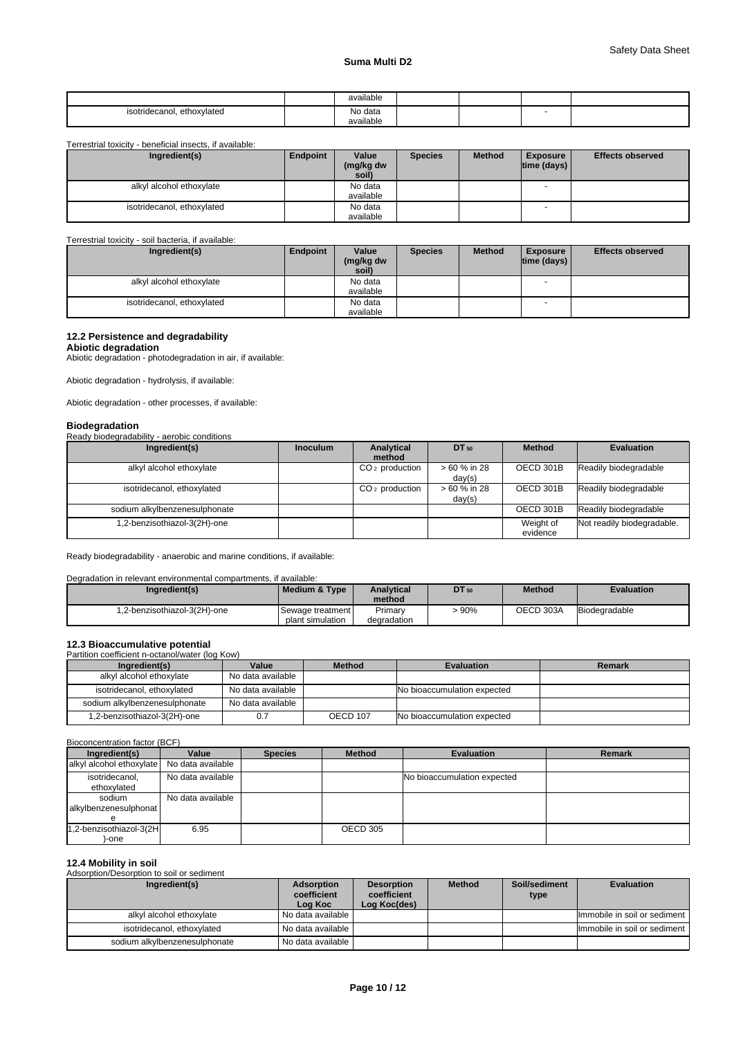|                                    | available |  |   |  |
|------------------------------------|-----------|--|---|--|
| ethoxvlated<br>isotridecanol.<br>. | No data   |  | - |  |
|                                    | available |  |   |  |

Terrestrial toxicity - beneficial insects, if available:

| Ingredient(s)              | Endpoint | Value     | <b>Species</b> | <b>Method</b> | <b>Exposure</b>          | <b>Effects observed</b> |
|----------------------------|----------|-----------|----------------|---------------|--------------------------|-------------------------|
|                            |          | (mg/kg dw |                |               | $ time$ (days) $ $       |                         |
|                            |          | soil)     |                |               |                          |                         |
| alkyl alcohol ethoxylate   |          | No data   |                |               | $\overline{\phantom{a}}$ |                         |
|                            |          | available |                |               |                          |                         |
| isotridecanol, ethoxylated |          | No data   |                |               |                          |                         |
|                            |          | available |                |               |                          |                         |

### Terrestrial toxicity - soil bacteria, if available:

| Ingredient(s)              | Endpoint | Value     | <b>Species</b> | <b>Method</b> | <b>Exposure</b>          | <b>Effects observed</b> |
|----------------------------|----------|-----------|----------------|---------------|--------------------------|-------------------------|
|                            |          | (mg/kg dw |                |               | time (days) $\vert$      |                         |
|                            |          | soil)     |                |               |                          |                         |
| alkyl alcohol ethoxylate   |          | No data   |                |               |                          |                         |
|                            |          | available |                |               |                          |                         |
| isotridecanol, ethoxylated |          | No data   |                |               | $\overline{\phantom{a}}$ |                         |
|                            |          | available |                |               |                          |                         |

# **12.2 Persistence and degradability**

**Abiotic degradation**

Abiotic degradation - photodegradation in air, if available:

Abiotic degradation - hydrolysis, if available:

Abiotic degradation - other processes, if available:

| <b>Biodegradation</b>                       |                 |                            |              |               |                            |
|---------------------------------------------|-----------------|----------------------------|--------------|---------------|----------------------------|
| Ready biodegradability - aerobic conditions |                 |                            |              |               |                            |
| Ingredient(s)                               | <b>Inoculum</b> | Analytical                 | DT 50        | <b>Method</b> | <b>Evaluation</b>          |
|                                             |                 | method                     |              |               |                            |
| alkyl alcohol ethoxylate                    |                 | CO <sub>2</sub> production | > 60 % in 28 | OECD 301B     | Readily biodegradable      |
|                                             |                 |                            | day(s)       |               |                            |
| isotridecanol, ethoxylated                  |                 | $CO2$ production           | > 60 % in 28 | OECD 301B     | Readily biodegradable      |
|                                             |                 |                            | day(s)       |               |                            |
| sodium alkylbenzenesulphonate               |                 |                            |              | OECD 301B     | Readily biodegradable      |
| .2-benzisothiazol-3(2H)-one                 |                 |                            |              | Weight of     | Not readily biodegradable. |
|                                             |                 |                            |              | evidence      |                            |

Ready biodegradability - anaerobic and marine conditions, if available:

### Degradation in relevant environmental compartments, if available:

| Ingredient(s)                | <b>Medium &amp; Type</b> | <b>Analytical</b><br>method | DT 50 | <b>Method</b> | <b>Evaluation</b> |
|------------------------------|--------------------------|-----------------------------|-------|---------------|-------------------|
|                              |                          |                             |       |               |                   |
| 1.2-benzisothiazol-3(2H)-one | Sewage treatment         | Primary                     | 90%   | OECD 303A     | Biodegradable     |
|                              | plant simulation         | degradation                 |       |               |                   |

**12.3 Bioaccumulative potential**<br>Partition coefficient n-octanol/water (log Kow)

| Ingredient(s)                 | Value             | <b>Method</b> | <b>Evaluation</b>           | Remark |
|-------------------------------|-------------------|---------------|-----------------------------|--------|
| alkyl alcohol ethoxylate      | No data available |               |                             |        |
| isotridecanol, ethoxylated    | No data available |               | No bioaccumulation expected |        |
| sodium alkylbenzenesulphonate | No data available |               |                             |        |
| 1,2-benzisothiazol-3(2H)-one  |                   | OECD 107      | No bioaccumulation expected |        |

### Bioconcentration factor (BCF)

| Ingredient(s)                              | Value             | <b>Species</b> | <b>Method</b> | <b>Evaluation</b>           | Remark |
|--------------------------------------------|-------------------|----------------|---------------|-----------------------------|--------|
| alkyl alcohol ethoxylate No data available |                   |                |               |                             |        |
| isotridecanol,<br>ethoxylated              | No data available |                |               | No bioaccumulation expected |        |
| sodium<br>alkylbenzenesulphonat            | No data available |                |               |                             |        |
| 1,2-benzisothiazol-3(2H<br>)-one           | 6.95              |                | OECD 305      |                             |        |

**12.4 Mobility in soil** Adsorption/Desorption to soil or sediment

| Ingredient(s)                 | Adsorption<br>coefficient<br>Log Koc | <b>Desorption</b><br>coefficient<br>Log Koc(des) | <b>Method</b> | Soil/sediment<br>type | <b>Evaluation</b>            |
|-------------------------------|--------------------------------------|--------------------------------------------------|---------------|-----------------------|------------------------------|
| alkyl alcohol ethoxylate      | l No data available l                |                                                  |               |                       | Immobile in soil or sediment |
| isotridecanol, ethoxylated    | I No data available I                |                                                  |               |                       | Immobile in soil or sediment |
| sodium alkylbenzenesulphonate | I No data available I                |                                                  |               |                       |                              |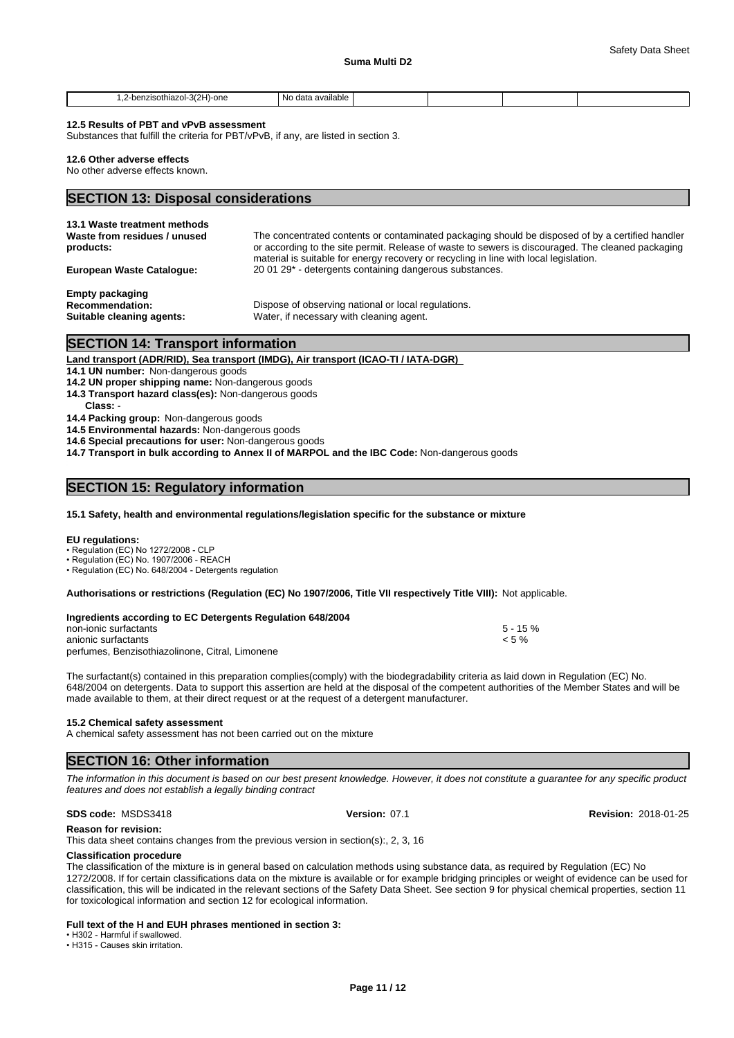| $-3(2H)$<br>)-one<br>⊥sothiazol∹<br>-ran-<br>-.<br>__<br>. | available<br>N0.<br>∋ data |  |  |
|------------------------------------------------------------|----------------------------|--|--|

### **12.5 Results of PBT and vPvB assessment**

Substances that fulfill the criteria for PBT/vPvB, if any, are listed in section 3.

### **12.6 Other adverse effects**

No other adverse effects known.

# **SECTION 13: Disposal considerations**

| 13.1 Waste treatment methods<br>Waste from residues / unused<br>products:     | The concentrated contents or contaminated packaging should be disposed of by a certified handler<br>or according to the site permit. Release of waste to sewers is discouraged. The cleaned packaging<br>material is suitable for energy recovery or recycling in line with local legislation. |
|-------------------------------------------------------------------------------|------------------------------------------------------------------------------------------------------------------------------------------------------------------------------------------------------------------------------------------------------------------------------------------------|
| European Waste Cataloque:                                                     | 20 01 29 <sup>*</sup> - detergents containing dangerous substances.                                                                                                                                                                                                                            |
| <b>Empty packaging</b><br><b>Recommendation:</b><br>Suitable cleaning agents: | Dispose of observing national or local regulations.<br>Water, if necessary with cleaning agent.                                                                                                                                                                                                |

# **SECTION 14: Transport information**

### **Land transport (ADR/RID), Sea transport (IMDG), Air transport (ICAO-TI / IATA-DGR)**

**14.1 UN number:** Non-dangerous goods

**14.2 UN proper shipping name:** Non-dangerous goods

- **14.3 Transport hazard class(es):** Non-dangerous goods
- **Class:** -

**14.4 Packing group:** Non-dangerous goods

**14.5 Environmental hazards:** Non-dangerous goods

**14.6 Special precautions for user:** Non-dangerous goods

**14.7 Transport in bulk according to Annex II of MARPOL and the IBC Code:** Non-dangerous goods

## **SECTION 15: Regulatory information**

### **15.1 Safety, health and environmental regulations/legislation specific for the substance or mixture**

### **EU regulations:**

• Regulation (EC) No 1272/2008 - CLP

• Regulation (EC) No. 1907/2006 - REACH

• Regulation (EC) No. 648/2004 - Detergents regulation

**Authorisations or restrictions (Regulation (EC) No 1907/2006, Title VII respectively Title VIII):** Not applicable.

| Ingredients according to EC Detergents Regulation 648/2004 |             |  |
|------------------------------------------------------------|-------------|--|
| non-ionic surfactants                                      | $5 - 15 \%$ |  |
| anionic surfactants                                        | $< 5 \%$    |  |
| perfumes, Benzisothiazolinone, Citral, Limonene            |             |  |

The surfactant(s) contained in this preparation complies(comply) with the biodegradability criteria as laid down in Regulation (EC) No. 648/2004 on detergents. Data to support this assertion are held at the disposal of the competent authorities of the Member States and will be made available to them, at their direct request or at the request of a detergent manufacturer.

### **15.2 Chemical safety assessment**

A chemical safety assessment has not been carried out on the mixture

## **SECTION 16: Other information**

*The information in this document is based on our best present knowledge. However, it does not constitute a guarantee for any specific product features and does not establish a legally binding contract*

### **SDS code:** MSDS3418 **Version:** 07.1 **Revision:** 2018-01-25

**Reason for revision:**

This data sheet contains changes from the previous version in section(s):, 2, 3, 16

### **Classification procedure**

The classification of the mixture is in general based on calculation methods using substance data, as required by Regulation (EC) No 1272/2008. If for certain classifications data on the mixture is available or for example bridging principles or weight of evidence can be used for classification, this will be indicated in the relevant sections of the Safety Data Sheet. See section 9 for physical chemical properties, section 11 for toxicological information and section 12 for ecological information.

# **Full text of the H and EUH phrases mentioned in section 3:**

• H302 - Harmful if swallowed.

• H315 - Causes skin irritation.